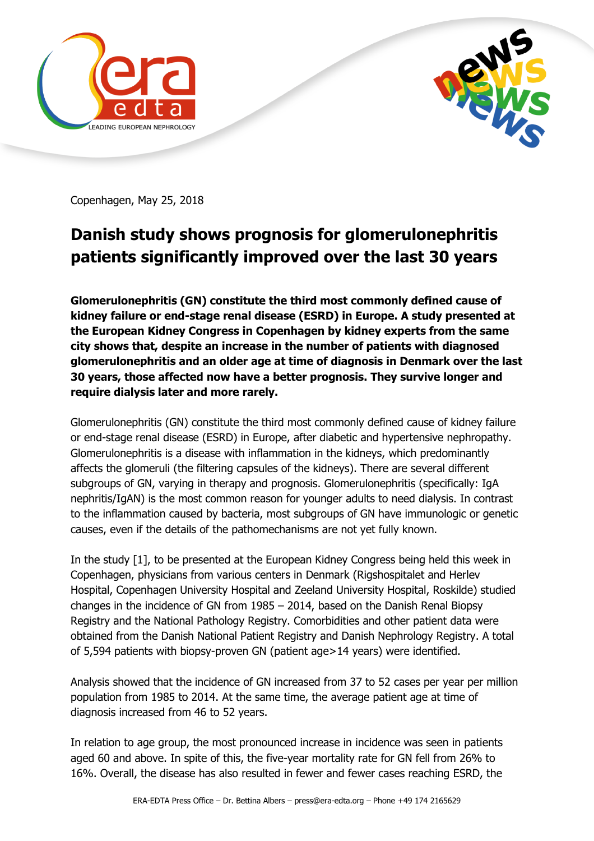



Copenhagen, May 25, 2018

## **Danish study shows prognosis for glomerulonephritis patients significantly improved over the last 30 years**

**Glomerulonephritis (GN) constitute the third most commonly defined cause of kidney failure or end-stage renal disease (ESRD) in Europe. A study presented at the European Kidney Congress in Copenhagen by kidney experts from the same city shows that, despite an increase in the number of patients with diagnosed glomerulonephritis and an older age at time of diagnosis in Denmark over the last 30 years, those affected now have a better prognosis. They survive longer and require dialysis later and more rarely.**

Glomerulonephritis (GN) constitute the third most commonly defined cause of kidney failure or end-stage renal disease (ESRD) in Europe, after diabetic and hypertensive nephropathy. Glomerulonephritis is a disease with inflammation in the kidneys, which predominantly affects the glomeruli (the filtering capsules of the kidneys). There are several different subgroups of GN, varying in therapy and prognosis. Glomerulonephritis (specifically: IgA nephritis/IgAN) is the most common reason for younger adults to need dialysis. In contrast to the inflammation caused by bacteria, most subgroups of GN have immunologic or genetic causes, even if the details of the pathomechanisms are not yet fully known.

In the study [1], to be presented at the European Kidney Congress being held this week in Copenhagen, physicians from various centers in Denmark (Rigshospitalet and Herlev Hospital, Copenhagen University Hospital and Zeeland University Hospital, Roskilde) studied changes in the incidence of GN from 1985 – 2014, based on the Danish Renal Biopsy Registry and the National Pathology Registry. Comorbidities and other patient data were obtained from the Danish National Patient Registry and Danish Nephrology Registry. A total of 5,594 patients with biopsy-proven GN (patient age>14 years) were identified.

Analysis showed that the incidence of GN increased from 37 to 52 cases per year per million population from 1985 to 2014. At the same time, the average patient age at time of diagnosis increased from 46 to 52 years.

In relation to age group, the most pronounced increase in incidence was seen in patients aged 60 and above. In spite of this, the five-year mortality rate for GN fell from 26% to 16%. Overall, the disease has also resulted in fewer and fewer cases reaching ESRD, the